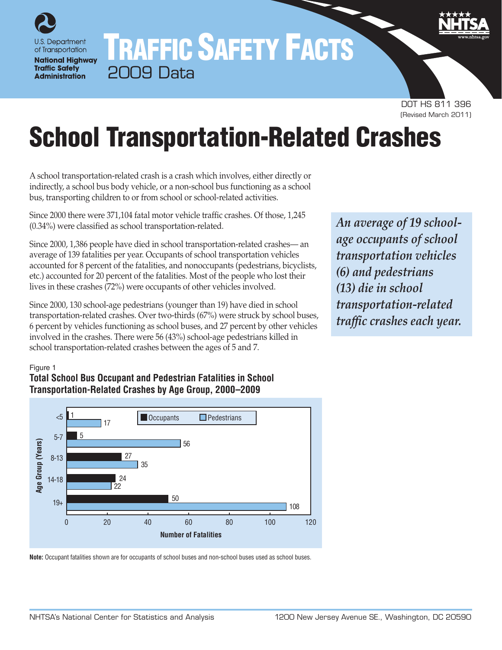U.S. Department of Transportation **National Highway Traffic Safety Administration** 

# TRAFFIC SAFETY FACTS 2009 Data

DOT HS 811 396 (Revised March 2011)

# School Transportation-Related Crashes

A school transportation-related crash is a crash which involves, either directly or indirectly, a school bus body vehicle, or a non-school bus functioning as a school bus, transporting children to or from school or school-related activities.

Since 2000 there were 371,104 fatal motor vehicle traffic crashes. Of those, 1,245 (0.34%) were classified as school transportation-related.

Since 2000, 1,386 people have died in school transportation-related crashes— an average of 139 fatalities per year. Occupants of school transportation vehicles accounted for 8 percent of the fatalities, and nonoccupants (pedestrians, bicyclists, etc.) accounted for 20 percent of the fatalities. Most of the people who lost their lives in these crashes (72%) were occupants of other vehicles involved.

Since 2000, 130 school-age pedestrians (younger than 19) have died in school transportation-related crashes. Over two-thirds (67%) were struck by school buses, 6 percent by vehicles functioning as school buses, and 27 percent by other vehicles involved in the crashes. There were 56 (43%) school-age pedestrians killed in school transportation-related crashes between the ages of 5 and 7.

*An average of 19 schoolage occupants of school transportation vehicles (6) and pedestrians (13) die in school transportation-related traffic crashes each year.*

#### Figure 1

## **Total School Bus Occupant and Pedestrian Fatalities in School Transportation-Related Crashes by Age Group, 2000–2009**



**Note:** Occupant fatalities shown are for occupants of school buses and non-school buses used as school buses.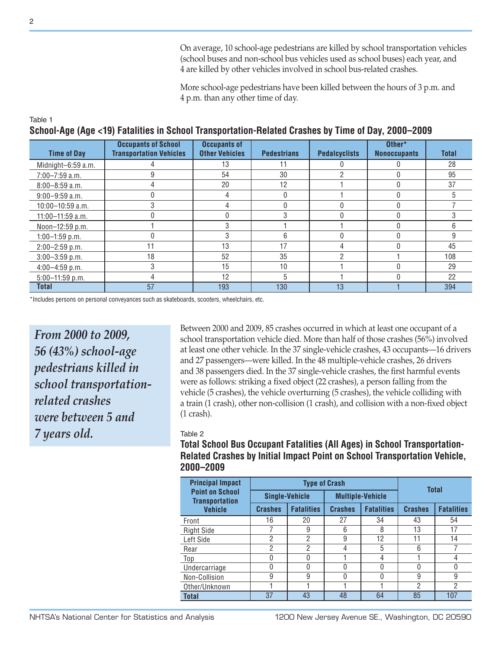On average, 10 school-age pedestrians are killed by school transportation vehicles (school buses and non-school bus vehicles used as school buses) each year, and 4 are killed by other vehicles involved in school bus-related crashes.

More school-age pedestrians have been killed between the hours of 3 p.m. and 4 p.m. than any other time of day.

| OCHOOI-AQB (AQB <19) FALAINIBS IN OCHOOI TRANSPORTATION-REIALBO CRASNES BY THINE OF DAY, ZUUU–ZUU9 |                                                              |                                              |                    |                      |                               |              |  |  |  |
|----------------------------------------------------------------------------------------------------|--------------------------------------------------------------|----------------------------------------------|--------------------|----------------------|-------------------------------|--------------|--|--|--|
| <b>Time of Day</b>                                                                                 | <b>Occupants of School</b><br><b>Transportation Vehicles</b> | <b>Occupants of</b><br><b>Other Vehicles</b> | <b>Pedestrians</b> | <b>Pedalcyclists</b> | Other*<br><b>Nonoccupants</b> | <b>Total</b> |  |  |  |
| Midnight-6:59 a.m.                                                                                 |                                                              | 13                                           |                    |                      |                               | 28           |  |  |  |
| $7:00 - 7:59$ a.m.                                                                                 |                                                              | 54                                           | 30                 |                      |                               | 95           |  |  |  |
| $8:00 - 8:59$ a.m.                                                                                 |                                                              | 20                                           | 12                 |                      |                               | 37           |  |  |  |
| $9:00 - 9:59$ a.m.                                                                                 |                                                              |                                              | <sup>0</sup>       |                      |                               |              |  |  |  |
| 10:00-10:59 a.m.                                                                                   | 3                                                            |                                              |                    |                      |                               |              |  |  |  |
| 11:00-11:59 a.m.                                                                                   |                                                              |                                              | 3                  |                      | 0                             |              |  |  |  |
| Noon-12:59 p.m.                                                                                    |                                                              |                                              |                    |                      |                               | 6            |  |  |  |
| $1:00-1:59$ p.m.                                                                                   |                                                              |                                              | 6                  |                      |                               | 9            |  |  |  |
| $2:00 - 2:59$ p.m.                                                                                 | 11                                                           | 13                                           | 17                 |                      |                               | 45           |  |  |  |
| $3:00-3:59$ p.m.                                                                                   | 18                                                           | 52                                           | 35                 | 2                    |                               | 108          |  |  |  |
| $4:00-4:59$ p.m.                                                                                   | 3                                                            | 15                                           | 10 <sup>1</sup>    |                      |                               | 29           |  |  |  |
| $5:00-11:59$ p.m.                                                                                  | Δ                                                            | 12                                           | 5                  |                      |                               | 22           |  |  |  |
| <b>Total</b>                                                                                       | 57                                                           | 193                                          | 130                | 13                   |                               | 394          |  |  |  |

#### **School-Age (Age <19) Fatalities in School Transportation-Related Crashes by Time of Day, 2000–2009**

\*Includes persons on personal conveyances such as skateboards, scooters, wheelchairs, etc.

*From 2000 to 2009, 56 (43%) school-age pedestrians killed in school transportationrelated crashes were between 5 and 7 years old.*

Between 2000 and 2009, 85 crashes occurred in which at least one occupant of a school transportation vehicle died. More than half of those crashes (56%) involved at least one other vehicle. In the 37 single-vehicle crashes, 43 occupants—16 drivers and 27 passengers—were killed. In the 48 multiple-vehicle crashes, 26 drivers and 38 passengers died. In the 37 single-vehicle crashes, the first harmful events were as follows: striking a fixed object (22 crashes), a person falling from the vehicle (5 crashes), the vehicle overturning (5 crashes), the vehicle colliding with a train (1 crash), other non-collision (1 crash), and collision with a non-fixed object (1 crash).

#### Table 2

**Total School Bus Occupant Fatalities (All Ages) in School Transportation-Related Crashes by Initial Impact Point on School Transportation Vehicle, 2000–2009**

| <b>Principal Impact</b>                         |                | <b>Type of Crash</b>  | <b>Total</b>   |                         |                |                   |  |
|-------------------------------------------------|----------------|-----------------------|----------------|-------------------------|----------------|-------------------|--|
| <b>Point on School</b><br><b>Transportation</b> |                | <b>Single-Vehicle</b> |                | <b>Multiple-Vehicle</b> |                |                   |  |
| <b>Vehicle</b>                                  | <b>Crashes</b> | <b>Fatalities</b>     | <b>Crashes</b> | <b>Fatalities</b>       | <b>Crashes</b> | <b>Fatalities</b> |  |
| Front                                           | 16             | 20                    | 27             | 34                      | 43             | 54                |  |
| <b>Right Side</b>                               |                | 9                     | 6              | 8                       | 13             | 17                |  |
| Left Side                                       | 2              | $\overline{2}$        | 9              | 12                      | 11             | 14                |  |
| Rear                                            | $\overline{2}$ | $\overline{2}$        | 4              | 5                       | 6              |                   |  |
| Top                                             | 0              | 0                     |                | 4                       |                | 4                 |  |
| Undercarriage                                   | 0              | $\mathbf{0}$          | 0              | 0                       | N              | 0                 |  |
| Non-Collision                                   | 9              | 9                     | 0              | O                       | 9              | 9                 |  |
| Other/Unknown                                   |                |                       |                |                         | $\overline{2}$ | 2                 |  |
| <b>Total</b>                                    | 37             | 43                    | 48             | 64                      | 85             | 107               |  |

Table 1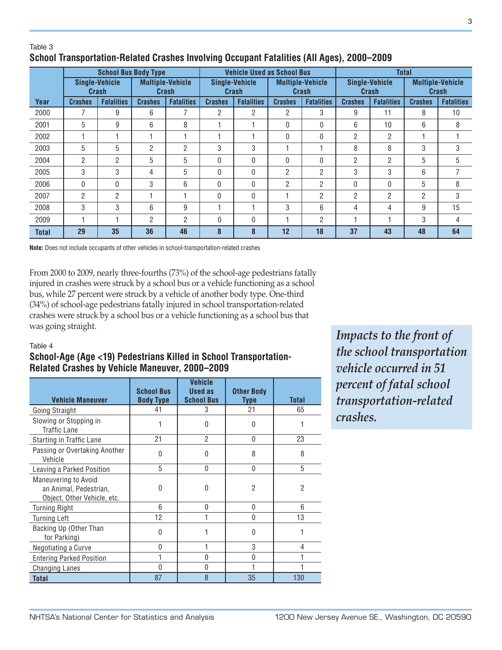#### Table 3 **School Transportation-Related Crashes Involving Occupant Fatalities (All Ages), 2000–2009**

|              | <b>School Bus Body Type</b>    |                   |                                  |                   | <b>Vehicle Used as School Bus</b> |                   |                                  |                   | <b>Total</b>                   |                   |                                  |                   |
|--------------|--------------------------------|-------------------|----------------------------------|-------------------|-----------------------------------|-------------------|----------------------------------|-------------------|--------------------------------|-------------------|----------------------------------|-------------------|
|              | <b>Single-Vehicle</b><br>Crash |                   | <b>Multiple-Vehicle</b><br>Crash |                   | <b>Single-Vehicle</b><br>Crash    |                   | <b>Multiple-Vehicle</b><br>Crash |                   | <b>Single-Vehicle</b><br>Crash |                   | <b>Multiple-Vehicle</b><br>Crash |                   |
| Year         | <b>Crashes</b>                 | <b>Fatalities</b> | <b>Crashes</b>                   | <b>Fatalities</b> | <b>Crashes</b>                    | <b>Fatalities</b> | <b>Crashes</b>                   | <b>Fatalities</b> | <b>Crashes</b>                 | <b>Fatalities</b> | <b>Crashes</b>                   | <b>Fatalities</b> |
| 2000         |                                | 9                 | 6                                | 7                 | 2                                 | 2                 | $\overline{2}$                   | 3                 | 9                              | 11                | 8                                | 10                |
| 2001         | 5                              | 9                 | 6                                | 8                 |                                   |                   | 0                                | $\mathbf{0}$      | 6                              | 10                | 6                                | 8                 |
| 2002         |                                |                   |                                  |                   |                                   |                   | 0                                | 0                 | 2                              | $\overline{2}$    | ٠                                |                   |
| 2003         | 5                              | 5                 | $\overline{2}$                   | 2                 | 3                                 | 3                 |                                  |                   | 8                              | 8                 | 3                                | 3                 |
| 2004         | $\overline{2}$                 | $\overline{2}$    | 5                                | 5                 | 0                                 | $\Omega$          | 0                                | $\Omega$          | 2                              | $\overline{2}$    | 5                                | 5                 |
| 2005         | 3                              | 3                 | 4                                | 5                 | 0                                 | $\Omega$          | $\overline{2}$                   | $\overline{2}$    | 3                              | 3                 | 6                                | 7                 |
| 2006         | $\mathbf{0}$                   | $\mathbf{0}$      | 3                                | 6                 | 0                                 | 0                 | 2                                | $\overline{2}$    | 0                              | $\Omega$          | 5                                | 8                 |
| 2007         | $\overline{2}$                 | $\overline{2}$    |                                  |                   | 0                                 | 0                 |                                  | 2                 | 2                              | $\overline{2}$    | $\overline{2}$                   | 3                 |
| 2008         | 3                              | 3                 | 6                                | 9                 |                                   |                   | 3                                | 6                 | 4                              | 4                 | 9                                | 15                |
| 2009         |                                |                   | 2                                | 2                 | 0                                 | 0                 |                                  | $\overline{2}$    |                                |                   | 3                                | 4                 |
| <b>Total</b> | 29                             | 35                | 36                               | 46                | 8                                 | 8                 | 12                               | 18                | 37                             | 43                | 48                               | 64                |

**Note:** Does not include occupants of other vehicles in school-transportation-related crashes

From 2000 to 2009, nearly three-fourths (73%) of the school-age pedestrians fatally injured in crashes were struck by a school bus or a vehicle functioning as a school bus, while 27 percent were struck by a vehicle of another body type. One-third (34%) of school-age pedestrians fatally injured in school transportation-related crashes were struck by a school bus or a vehicle functioning as a school bus that was going straight.

#### Table 4

## **School-Age (Age <19) Pedestrians Killed in School Transportation-Related Crashes by Vehicle Maneuver, 2000–2009**

| <b>Vehicle Maneuver</b>                                                       | <b>School Bus</b><br><b>Body Type</b> | <b>Vehicle</b><br><b>Used as</b><br><b>School Bus</b> | <b>Other Body</b><br>Type | <b>Total</b> |
|-------------------------------------------------------------------------------|---------------------------------------|-------------------------------------------------------|---------------------------|--------------|
| Going Straight                                                                | 41                                    | 3                                                     | 21                        | 65           |
| Slowing or Stopping in<br><b>Traffic Lane</b>                                 |                                       | 0                                                     | 0                         |              |
| Starting in Traffic Lane                                                      | 21                                    | $\mathfrak{p}$                                        | 0                         | 23           |
| Passing or Overtaking Another<br>Vehicle                                      | 0                                     | 0                                                     | 8                         | 8            |
| Leaving a Parked Position                                                     | 5                                     | 0                                                     | 0                         | 5            |
| Maneuvering to Avoid<br>an Animal, Pedestrian,<br>Object, Other Vehicle, etc. | U                                     | 0                                                     | 2                         | 2            |
| <b>Turning Right</b>                                                          | 6                                     | U                                                     | U                         | 6            |
| <b>Turning Left</b>                                                           | 12                                    |                                                       | $\Omega$                  | 13           |
| Backing Up (Other Than<br>for Parking)                                        | $\Omega$                              |                                                       | U                         |              |
| Negotiating a Curve                                                           | 0                                     |                                                       | 3                         | 4            |
| <b>Entering Parked Position</b>                                               |                                       | 0                                                     | 0                         |              |
| <b>Changing Lanes</b>                                                         | $\Omega$                              | N                                                     |                           |              |
| <b>Total</b>                                                                  | 87                                    | 8                                                     | 35                        | 130          |

*Impacts to the front of the school transportation vehicle occurred in 51 percent of fatal school transportation-related crashes.*